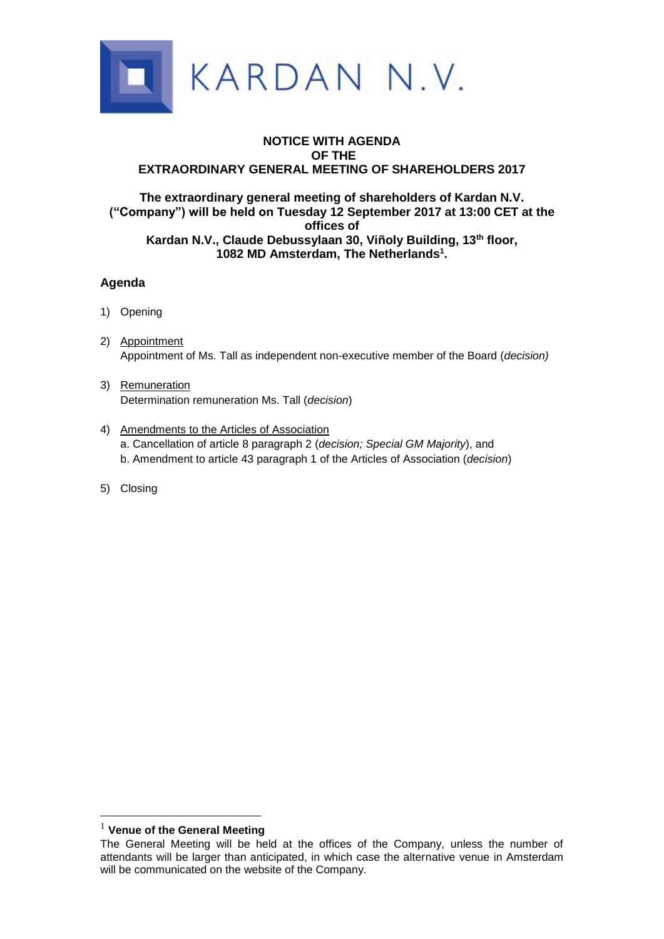

## **NOTICE WITH AGENDA OF THE EXTRAORDINARY GENERAL MEETING OF SHAREHOLDERS 2017**

### **The extraordinary general meeting of shareholders of Kardan N.V. ("Company") will be held on Tuesday 12 September 2017 at 13:00 CET at the offices of Kardan N.V., Claude Debussylaan 30, Viñoly Building, 13th floor, 1082 MD Amsterdam, The Netherlands<sup>1</sup> .**

# **Agenda**

- 1) Opening
- 2) Appointment Appointment of Ms. Tall as independent non-executive member of the Board (*decision)*
- 3) Remuneration Determination remuneration Ms. Tall (*decision*)
- 4) Amendments to the Articles of Association a. Cancellation of article 8 paragraph 2 (*decision; Special GM Majority*), and b. Amendment to article 43 paragraph 1 of the Articles of Association (*decision*)
- 5) Closing

<u>.</u>

<sup>1</sup> **Venue of the General Meeting**

The General Meeting will be held at the offices of the Company, unless the number of attendants will be larger than anticipated, in which case the alternative venue in Amsterdam will be communicated on the website of the Company.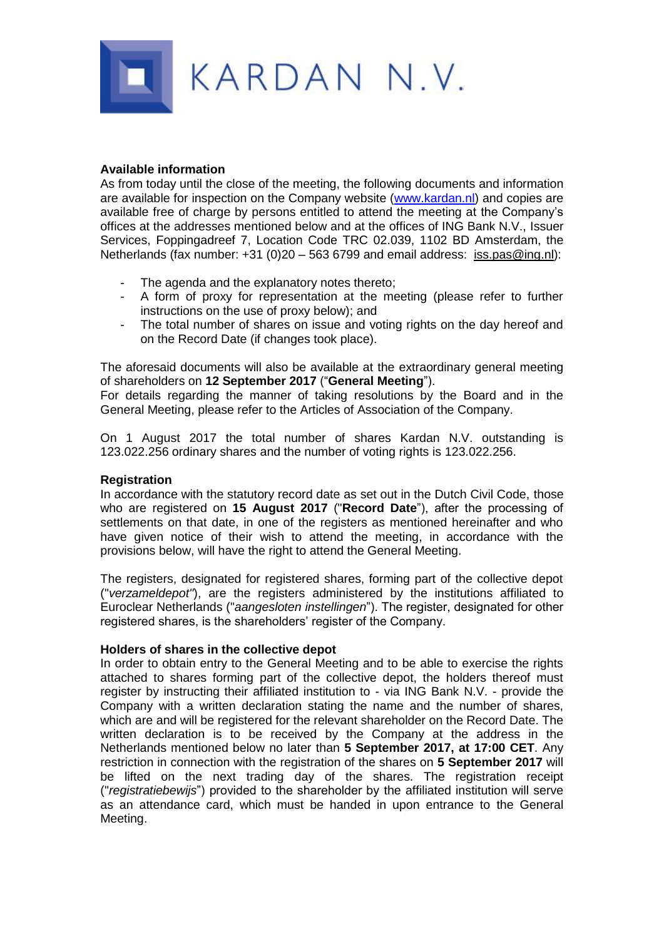

### **Available information**

As from today until the close of the meeting, the following documents and information are available for inspection on the Company website [\(www.kardan.nl\)](http://www.kardan.nl/) and copies are available free of charge by persons entitled to attend the meeting at the Company's offices at the addresses mentioned below and at the offices of ING Bank N.V., Issuer Services, Foppingadreef 7, Location Code TRC 02.039, 1102 BD Amsterdam, the Netherlands (fax number: +31 (0)20 – 563 6799 and email address: iss.pas@ing.nl):

- The agenda and the explanatory notes thereto;
- A form of proxy for representation at the meeting (please refer to further instructions on the use of proxy below); and
- The total number of shares on issue and voting rights on the day hereof and on the Record Date (if changes took place).

The aforesaid documents will also be available at the extraordinary general meeting of shareholders on **12 September 2017** ("**General Meeting**").

For details regarding the manner of taking resolutions by the Board and in the General Meeting, please refer to the Articles of Association of the Company.

On 1 August 2017 the total number of shares Kardan N.V. outstanding is 123.022.256 ordinary shares and the number of voting rights is 123.022.256.

#### **Registration**

In accordance with the statutory record date as set out in the Dutch Civil Code, those who are registered on **15 August 2017** ("**Record Date**"), after the processing of settlements on that date, in one of the registers as mentioned hereinafter and who have given notice of their wish to attend the meeting, in accordance with the provisions below, will have the right to attend the General Meeting.

The registers, designated for registered shares, forming part of the collective depot ("*verzameldepot"*), are the registers administered by the institutions affiliated to Euroclear Netherlands ("*aangesloten instellingen*"). The register, designated for other registered shares, is the shareholders' register of the Company.

#### **Holders of shares in the collective depot**

In order to obtain entry to the General Meeting and to be able to exercise the rights attached to shares forming part of the collective depot, the holders thereof must register by instructing their affiliated institution to - via ING Bank N.V. - provide the Company with a written declaration stating the name and the number of shares, which are and will be registered for the relevant shareholder on the Record Date. The written declaration is to be received by the Company at the address in the Netherlands mentioned below no later than **5 September 2017, at 17:00 CET**. Any restriction in connection with the registration of the shares on **5 September 2017** will be lifted on the next trading day of the shares. The registration receipt ("*registratiebewijs*") provided to the shareholder by the affiliated institution will serve as an attendance card, which must be handed in upon entrance to the General Meeting.